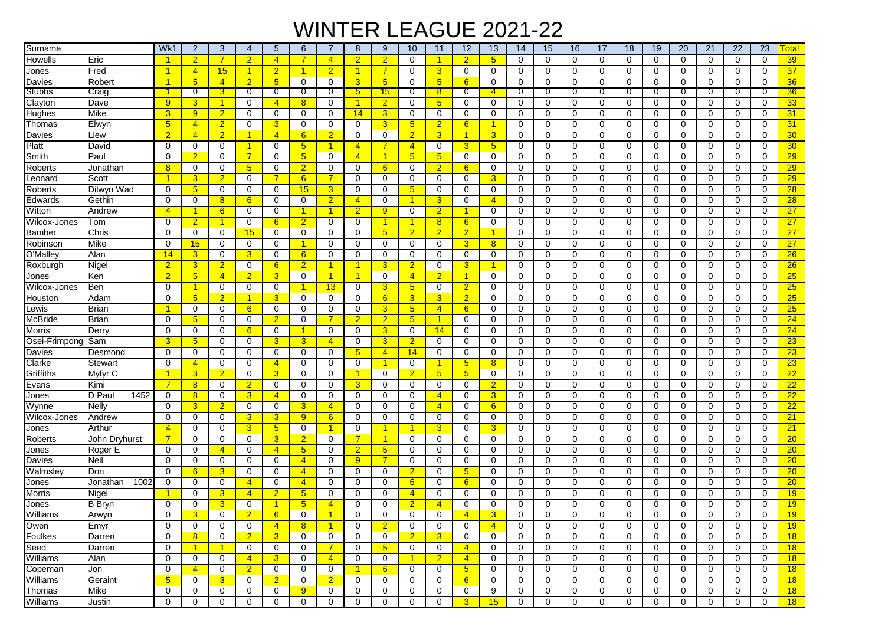## WINTER LEAGUE 2021-22

| Surname          |                  | Wk1              | $\overline{2}$          | 3                           | $\overline{4}$                   | 5                    | 6              | -7                   | 8                   | 9                    | 10                   | 11                  | 12                               | 13              | 14               | 15             | 16          | 17       | 18          | 19               | 20             | 21          | 22               | 23          | <b>Total</b>    |
|------------------|------------------|------------------|-------------------------|-----------------------------|----------------------------------|----------------------|----------------|----------------------|---------------------|----------------------|----------------------|---------------------|----------------------------------|-----------------|------------------|----------------|-------------|----------|-------------|------------------|----------------|-------------|------------------|-------------|-----------------|
| Howells          | Eric             |                  | $\overline{2}$          | $\overline{7}$              | $\overline{2}$                   | $\overline{4}$       | 7              | $\overline{4}$       | $\overline{2}$      | $\overline{2}$       | $\mathbf 0$          | -1                  | $\overline{2}$                   | $5\phantom{.0}$ | $\Omega$         | $\mathbf 0$    | $\mathbf 0$ | $\Omega$ | $\mathbf 0$ | $\mathbf 0$      | $\mathbf 0$    | $\mathbf 0$ | 0                | $\mathbf 0$ | 39              |
| Jones            | Fred             | $\overline{1}$   | $\overline{4}$          | 15                          | -1                               | $\overline{2}$       | 1              | $\overline{2}$       | 1                   | $\overline{7}$       | $\mathbf 0$          | 3                   | $\mathbf 0$                      | 0               | $\mathbf 0$      | $\mathbf 0$    | 0           | 0        | $\mathbf 0$ | $\mathbf 0$      | $\mathbf 0$    | $\mathbf 0$ | $\mathbf 0$      | 0           | 37              |
| Davies           | Robert           |                  | 5 <sub>5</sub>          | $\overline{4}$              | $\overline{2}$                   | $5\phantom{.0}$      | 0              | 0                    | 3                   | $5\phantom{1}$       | $\mathbf 0$          | $5\phantom{.0}$     | 6                                | 0               | 0                | $\mathbf 0$    | 0           | $\Omega$ | 0           | 0                | $\mathbf 0$    | 0           | $\mathbf 0$      | 0           | 36              |
| Stubbs           | Craig            |                  | 0                       | 3                           | 0                                | $\overline{0}$       | 0              | 0                    | $5^{\circ}$         | 15                   | $\overline{0}$       | 8                   | $\mathbf{0}$                     | $\overline{4}$  | 0                | $\overline{0}$ | 0           | 0        | 0           | 0                | $\overline{0}$ | 0           | $\overline{0}$   | 0           | 36              |
| Clayton          | Dave             | 9                | 3                       | $\mathbf{1}$                | 0                                | $\overline{4}$       | 8              | $\mathbf 0$          | 1                   | $\overline{2}$       | 0                    | $5\phantom{.0}$     | 0                                | 0               | 0                | 0              | 0           | 0        | 0           | $\mathbf 0$      | 0              | 0           | 0                | 0           | 33 <sub>o</sub> |
| Hughes           | Mike             | $\overline{3}$   | 9                       | $\overline{2}$              | $\mathbf 0$                      | $\mathbf 0$          | $\mathbf 0$    | 0                    | 14                  | 3                    | 0                    | $\mathbf 0$         | 0                                | 0               | 0                | $\mathbf 0$    | $\mathbf 0$ | 0        | 0           | $\mathbf 0$      | $\mathbf 0$    | 0           | $\mathbf 0$      | $\mathbf 0$ | 31              |
| Thomas           | Elwyn            | 5 <sup>5</sup>   | $\overline{4}$          | $\overline{2}$              | 0                                | 3                    | $\Omega$       | 0                    | 0                   | 3                    | $5\phantom{.0}$      | $\overline{2}$      | 6                                | 1               | $\Omega$         | $\mathbf 0$    | 0           | $\Omega$ | $\Omega$    | 0                | $\mathbf 0$    | $\Omega$    | $\mathbf 0$      | $\Omega$    | 31              |
| Davies           | Llew             | $\overline{2}$   | $\overline{4}$          | $\overline{2}$              | -1                               | $\overline{4}$       | 6              | $\overline{2}$       | 0                   | $\mathbf 0$          | $\overline{2}$       | 3                   | $\blacktriangleleft$             | 3 <sup>5</sup>  | $\Omega$         | 0              | $\mathbf 0$ | $\Omega$ | 0           | $\mathbf 0$      | $\mathbf 0$    | $\Omega$    | $\mathbf 0$      | 0           | 30 <sub>o</sub> |
| Platt            | David            | 0                | 0                       | 0                           | -1                               | 0                    | $\sqrt{5}$     | -1                   | $\overline{4}$      | 7                    | $\overline{4}$       | 0                   | 3                                | 5 <sub>5</sub>  | 0                | 0              | 0           | 0        | 0           | 0                | 0              | 0           | 0                | 0           | 30 <sub>o</sub> |
| Smith            | Paul             | $\Omega$         | $\overline{2}$          | 0                           | $\overline{7}$                   | 0                    | 5 <sup>5</sup> | 0                    | $\overline{4}$      | $\blacktriangleleft$ | 5 <sup>5</sup>       | 5 <sup>5</sup>      | 0                                | $\mathbf 0$     | $\Omega$         | 0              | 0           | $\Omega$ | 0           | $\mathbf 0$      | 0              | $\Omega$    | $\mathbf 0$      | 0           | 29              |
| Roberts          | Jonathan         | 8                | $\mathbf 0$             | $\mathbf 0$                 | 5                                | $\mathbf 0$          | $\overline{2}$ | $\mathbf 0$          | $\mathbf 0$         | 6                    | $\mathbf 0$          | $\overline{2}$      | 6                                | $\mathbf 0$     | 0                | $\mathbf 0$    | $\mathbf 0$ | $\Omega$ | $\mathbf 0$ | $\mathbf 0$      | $\mathbf 0$    | $\Omega$    | $\mathbf 0$      | 0           | 29              |
| Leonard          | Scott            |                  | 3                       | $\overline{2}$              | 0                                | $\overline{7}$       | 6              | $\overline{7}$       | 0                   | 0                    | 0                    | 0                   | 0                                | $\overline{3}$  | 0                | 0              | 0           | 0        | 0           | 0                | $\mathbf 0$    | 0           | 0                | 0           | 29              |
| Roberts          | Dilwyn Wad       | $\mathbf 0$      | 5 <sub>5</sub>          | 0                           | 0                                | 0                    | 15             | 3                    | 0                   | $\mathbf 0$          | $5\phantom{.0}$      | 0                   | $\mathbf 0$                      | 0               | 0                | 0              | 0           | 0        | 0           | 0                | $\mathbf 0$    | $\Omega$    | 0                | 0           | 28              |
| Edwards          | Gethin           | $\Omega$         | $\mathbf 0$             | 8                           | 6                                | $\mathbf 0$          | 0              | $\overline{2}$       | $\overline{4}$      | $\mathbf 0$          | $\overline{1}$       | 3                   | 0                                | $\overline{4}$  | 0                | $\mathbf 0$    | $\mathbf 0$ | $\Omega$ | $\Omega$    | $\mathbf 0$      | $\mathbf 0$    | $\mathbf 0$ | $\mathbf 0$      | 0           | 28              |
| Witton           | Andrew           | $\overline{4}$   | 1                       | 6                           | 0                                | 0                    | 1              | -1                   | $\overline{2}$      | 9                    | 0                    | $\overline{2}$      | $\mathbf{1}$                     | 0               | 0                | 0              | 0           | $\Omega$ | 0           | $\mathbf 0$      | 0              | 0           | 0                | 0           | 27              |
| Wilcox-Jones     | Tom              | $\Omega$         | $\overline{2}$          | $\mathbf{1}$                | 0                                | 6                    | $\overline{2}$ | 0                    | 0                   | 1                    | $\blacktriangleleft$ | 8                   | 6                                | 0               | 0                | 0              | 0           | 0        | 0           | 0                | 0              | 0           | 0                | $\Omega$    | 27              |
| Bamber           | Chris            | $\Omega$         | $\mathbf 0$             | $\mathbf 0$                 | 15                               | 0                    | 0              | 0                    | 0                   | $5\phantom{1}$       | $\overline{2}$       | $\overline{2}$      | 2 <sup>1</sup>                   | 1               | $\Omega$         | 0              | 0           | $\Omega$ | 0           | $\mathbf 0$      | $\mathbf 0$    | $\Omega$    | $\mathbf 0$      | $\Omega$    | 27              |
| Robinson         | Mike             | $\Omega$         | 15                      | $\Omega$                    | $\Omega$                         | 0                    |                | $\Omega$             | $\mathbf 0$         | 0                    | $\mathbf 0$          | $\Omega$            | 3                                | 8 <sup>2</sup>  | $\Omega$         | $\mathbf 0$    | 0           | $\Omega$ | $\Omega$    | $\Omega$         | $\Omega$       | $\Omega$    | $\Omega$         | $\Omega$    | 27              |
| O'Malley         | Alan             | 14               | 3                       | 0                           | 3                                | 0                    | 6              | $\Omega$             | 0                   | 0                    | 0                    | 0                   | 0                                | 0               | $\Omega$         | 0              | 0           | $\Omega$ | 0           | $\mathbf 0$      | 0              | 0           | $\mathbf 0$      | 0           | 26              |
| Roxburgh         | Nigel            | $\overline{2}$   | $\overline{3}$          | $\overline{2}$              | 0                                | $6^{\circ}$          | $\overline{2}$ | -1                   | -1                  | 3                    | $\overline{2}$       | 0                   | 3                                | -1              | 0                | 0              | 0           | 0        | 0           | 0                | 0              | 0           | $\mathbf 0$      | 0           | 26              |
| Jones            | Ken              | $\overline{2}$   | $5\overline{)}$         | $\overline{4}$              | $\overline{2}$                   | $\overline{3}$       | 0              | $\blacktriangleleft$ | $\overline{1}$      | $\mathbf 0$          | $\overline{4}$       | $\overline{2}$      | $\mathbf{1}$                     | $\mathbf 0$     | $\mathbf 0$      | $\mathbf 0$    | $\mathbf 0$ | 0        | 0           | 0                | $\mathbf 0$    | $\mathbf 0$ | $\mathbf 0$      | 0           | 25              |
| Wilcox-Jones     | Ben              | $\mathbf 0$      | 1                       | $\mathbf 0$                 | $\mathbf 0$                      | 0                    | 1              | 13                   | 0                   | 3                    | 5 <sup>5</sup>       | $\mathbf 0$         | $\overline{2}$                   | 0               | 0                | 0              | 0           | 0        | 0           | 0                | $\mathbf 0$    | 0           | 0                | 0           | 25              |
| Houston          | Adam             | $\Omega$         | $5\overline{)}$         | $\overline{2}$              |                                  | 3                    | 0              | $\mathbf 0$          | 0                   | 6                    | 3 <sup>5</sup>       | 3                   | $\overline{2}$                   | 0               | 0                | 0              | 0           | 0        | 0           | $\mathbf 0$      | 0              | $\mathbf 0$ | $\mathbf 0$      | 0           | 25              |
| Lewis            | Brian            | -1               | 0                       | $\mathbf 0$                 | 6                                | 0                    | 0              | 0                    | 0                   | $\overline{3}$       | 5 <sup>5</sup>       | $\overline{4}$      | 6                                | 0               | 0                | 0              | 0           | $\Omega$ | 0           | $\mathbf 0$      | 0              | 0           | $\mathbf 0$      | 0           | 25              |
| McBride          | Brian            | $\Omega$         | $5\overline{)}$         | 0                           | 0                                | $\overline{2}$       | $\Omega$       | $\overline{7}$       | $\overline{2}$      | $\overline{2}$       | 5 <sup>5</sup>       | $\overline{1}$      | 0                                | 0               | $\Omega$         | 0              | 0           | $\Omega$ | $\Omega$    | $\Omega$         | $\Omega$       | $\Omega$    | $\mathbf 0$      | $\Omega$    | 24              |
| Morris           | Derry            | 0                | 0                       | 0                           | 6                                | 0                    | 1              | 0                    | 0                   | 3                    | 0                    | 14                  | 0                                | 0               | 0                | 0              | 0           | $\Omega$ | 0           | $\mathbf 0$      | 0              | 0           | $\mathbf 0$      | 0           | 24              |
| Osei-Frimpong    | Sam              | 3                | $5\phantom{.0}$         | 0                           | 0                                | 3                    | 3              | $\overline{4}$       | 0                   | 3                    | $\overline{2}$       | 0                   | 0                                | 0               | 0                | 0              | 0           | 0        | 0           | 0                | 0              | $\Omega$    | $\mathbf 0$      | $\Omega$    | 23              |
| Davies           | Desmond          | 0                | $\mathbf 0$             | $\mathbf 0$                 | 0                                | 0                    | 0              | 0                    | 5 <sup>5</sup>      | $\overline{4}$       | 14                   | 0                   | 0                                | $\mathbf 0$     | 0                | $\mathbf 0$    | 0           | 0        | 0           | 0                | $\mathbf 0$    | 0           | $\mathbf 0$      | 0           | 23              |
| Clarke           | Stewart          | $\Omega$         | $\overline{4}$          | 0                           | 0                                | $\overline{4}$       | 0              | 0                    | $\mathbf 0$         | -1                   | $\mathbf 0$          | -1                  | 5                                | 8               | 0                | $\mathbf 0$    | $\mathbf 0$ | $\Omega$ | 0           | 0                | 0              | 0           | $\mathbf 0$      | 0           | 23              |
| Griffiths        | Myfyr C          | -1               | 3                       | $\overline{2}$              | $\mathbf 0$                      | $\overline{3}$       | 0              | $\mathbf 0$          | 1                   | $\mathbf 0$          | $\overline{2}$       | 5                   | 5                                | $\mathbf 0$     | 0                | $\mathbf 0$    | 0           | 0        | 0           | $\mathbf 0$      | $\mathbf 0$    | $\mathbf 0$ | 0                | 0           | $\overline{22}$ |
| Evans            | Kimi             | $\overline{7}$   | 8                       | $\mathbf 0$                 | $\overline{2}$                   | 0                    | 0              | 0                    | $\overline{3}$      | $\mathbf 0$          | $\mathbf 0$          | 0                   | $\mathbf 0$                      | $\overline{2}$  | 0                | $\mathbf 0$    | 0           | 0        | 0           | $\mathbf 0$      | $\mathbf 0$    | 0           | $\mathbf 0$      | 0           | 22              |
| Jones            | D Paul<br>1452   | 0                | 8                       | $\mathbf 0$                 | 3                                | $\overline{4}$       | 0              | $\mathbf 0$          | $\mathbf 0$         | $\mathbf 0$          | $\mathbf 0$          | $\overline{4}$      | $\mathbf 0$                      | $\overline{3}$  | $\mathbf 0$      | $\mathbf 0$    | 0           | $\Omega$ | $\mathbf 0$ | $\mathbf 0$      | $\mathbf 0$    | $\mathbf 0$ | $\mathbf 0$      | $\mathbf 0$ | 22              |
| Wynne            | Nelly            | 0                | $\overline{3}$          | $\overline{2}$              | 0                                | 0                    | 3              | $\overline{4}$       | 0                   | 0                    | 0                    | $\overline{4}$      | 0                                | 6               | 0                | 0              | 0           | $\Omega$ | 0           | $\mathbf 0$      | 0              | $\Omega$    | 0                | 0           | 22              |
| Wilcox-Jones     | Andrew           | $\Omega$         | $\mathbf 0$             | $\mathbf 0$                 | 3                                | 3                    | 9              | 6                    | 0                   | 0                    | 0                    | 0                   | 0                                | 0               | 0                | 0              | 0           | 0        | 0           | 0                | 0              | 0           | 0                | $\Omega$    | 21              |
| Jones            | Arthur           | $\overline{4}$   | $\mathbf 0$             | $\mathbf 0$                 | 3                                | 5 <sup>5</sup>       | 0              | -1                   | 0                   | -1                   | $\blacktriangleleft$ | 3                   | 0                                | $\overline{3}$  | $\Omega$         | 0              | 0           | $\Omega$ | 0           | $\mathbf 0$      | 0              | 0           | $\mathbf 0$      | 0           | 21              |
| Roberts          | John Dryhurst    | $\overline{7}$   | $\Omega$                | 0                           | $\Omega$                         | $\mathbf{3}$         | $\overline{2}$ | $\Omega$             | $\overline{7}$      | $\blacktriangleleft$ | 0                    | $\Omega$            | 0                                | 0               | $\Omega$         | 0              | 0           | $\Omega$ | $\Omega$    | $\Omega$         | 0              | $\Omega$    | $\mathbf 0$      | $\Omega$    | 20 <sub>2</sub> |
| Jones            | Roger E          | 0                | 0                       | $\overline{4}$              | 0                                | $\overline{4}$       | 5              | 0                    | $\overline{2}$      | 5                    | $\mathbf 0$          | 0                   | 0                                | 0               | 0                | $\mathbf 0$    | 0           | 0        | 0           | 0                | $\mathbf 0$    | 0           | $\mathbf 0$      | 0           | $\overline{20}$ |
| Davies           | Neil             | $\Omega$         | $\mathbf 0$             | 0                           | 0                                | 0                    | $\overline{4}$ | 0                    | 9                   | 7                    | 0                    | 0                   | 0                                | 0               | 0                | 0              | 0           | 0        | 0           | 0                | 0              | 0           | $\mathbf 0$      | 0           | 20 <sub>2</sub> |
| Walmsley         | Don              | $\Omega$         | 6                       | 3                           | $\mathbf 0$                      | $\mathbf 0$          | $\overline{4}$ | $\mathbf 0$          | $\mathbf 0$         | $\mathbf 0$          | $\overline{2}$       | 0                   | $5\phantom{1}$                   | $\mathbf 0$     | 0                | $\mathbf 0$    | 0           | 0        | 0           | $\mathbf 0$      | $\mathbf 0$    | $\mathbf 0$ | $\mathbf 0$      | 0           | 20              |
| Jones            | 1002<br>Jonathan | 0                | $\mathbf 0$             | $\mathbf 0$                 | $\overline{4}$                   | 0                    | $\overline{4}$ | $\mathbf 0$          | 0                   | $\mathbf 0$          | 6                    | 0                   | $6\phantom{1}$                   | 0               | 0                | $\mathbf 0$    | 0           | $\Omega$ | 0           | 0                | $\mathbf 0$    | 0           | 0                | 0           | 20              |
| Morris           | Nigel            |                  | 0                       | 3                           | $\overline{4}$                   | $\overline{2}$       | 5              | 0                    | 0                   | 0                    | $\overline{4}$       | 0                   | 0                                | 0               | 0                | 0              | $\Omega$    | 0        | 0           | 0                | 0              | 0           | 0                | 0           | 19              |
| Jones            | <b>B</b> Bryn    | 0                | 0                       | 3                           | 0                                | $\blacktriangleleft$ | 5              | $\overline{4}$       | 0                   | $\Omega$             | $\overline{2}$       | 4                   | 0                                | 0               | $\Omega$         | 0              | 0           | $\Omega$ | 0           | 0                | 0              | 0           | 0                | 0           | 19              |
| Williams         | Arwyn            | 0                | $\overline{\mathbf{3}}$ | 0                           | $\overline{2}$                   | 6                    | 0              | $\blacktriangleleft$ | 0                   | 0                    | 0                    | 0                   | $\overline{4}$                   | $\overline{3}$  | 0                | 0              | 0           | 0        | 0           | 0                | 0              | 0           | 0                | 0           | 19              |
| Owen             | Emyr             | 0<br>$\mathbf 0$ | $\mathbf 0$             | 0                           | 0                                | $\overline{4}$       | 8              | $\overline{1}$       | 0                   | $\overline{2}$       | $\mathbf 0$          | 0                   | $\mathbf 0$                      | $\overline{4}$  | 0                | 0              | 0           | 0        | 0           | 0                | 0              | 0           | $\mathbf 0$      | 0           | 19              |
| Foulkes          | Darren           |                  | 8                       | 0                           | $\overline{2}$                   | 3 <sup>2</sup>       | 0              | $\mathbf 0$          | 0                   | 0                    | $\overline{2}$       | 3                   | 0                                | 0               | $\mathbf 0$      | 0              | 0           | 0        | 0           | 0                | 0              | 0           | 0                | 0           | 18              |
| Seed<br>Williams | Darren           | 0<br>$\mathbf 0$ | $\overline{1}$          | $\mathbf{1}$<br>$\mathbf 0$ | 0                                | 0                    | 0              | $\overline{7}$       | 0                   | $5\overline{5}$      | 0                    | 0                   | $\overline{4}$                   | 0               | $\mathbf 0$      | 0              | 0           | 0        | 0           | $\mathbf 0$      | $\mathbf 0$    | 0           | $\mathbf 0$      | 0           | 18              |
| Copeman          | Alan             | $\mathbf 0$      | 0<br>$\overline{4}$     | 0                           | $\overline{4}$<br>$\overline{2}$ | 3<br>0               | 0<br>0         | $\overline{4}$<br>0  | 0<br>$\overline{1}$ | $\mathbf 0$<br>6     | $\mathbf{1}$<br>0    | $\overline{2}$<br>0 | $\overline{4}$<br>5 <sub>5</sub> | 0<br>0          | $\mathbf 0$<br>0 | 0<br>0         | 0           | 0<br>0   | 0<br>0      | 0<br>$\mathbf 0$ | 0<br>0         | 0<br>0      | $\mathbf 0$<br>0 | 0<br>0      | 18<br>18        |
| Williams         | Jon<br>Geraint   | 5 <sub>5</sub>   | 0                       | 3                           | 0                                | $\overline{2}$       | 0              | $\overline{2}$       | 0                   | 0                    | 0                    | 0                   | 6                                | 0               | 0                | 0              | 0<br>0      | 0        | 0           | 0                | 0              | 0           | 0                | 0           | 18              |
| Thomas           | Mike             | 0                | 0                       | 0                           | 0                                | 0                    | 9              | 0                    | 0                   | 0                    | 0                    | $\mathbf 0$         | 0                                | 9               | 0                | 0              | 0           | 0        | 0           | 0                | 0              | 0           | 0                | 0           | 18              |
| Williams         | Justin           | 0                | $\mathbf 0$             | 0                           | 0                                | 0                    | 0              | 0                    | 0                   | 0                    | 0                    | 0                   | 3 <sup>5</sup>                   | 15              | $\mathbf 0$      | 0              | 0           | 0        | 0           | $\mathbf 0$      | 0              | 0           | 0                | 0           | 18              |
|                  |                  |                  |                         |                             |                                  |                      |                |                      |                     |                      |                      |                     |                                  |                 |                  |                |             |          |             |                  |                |             |                  |             |                 |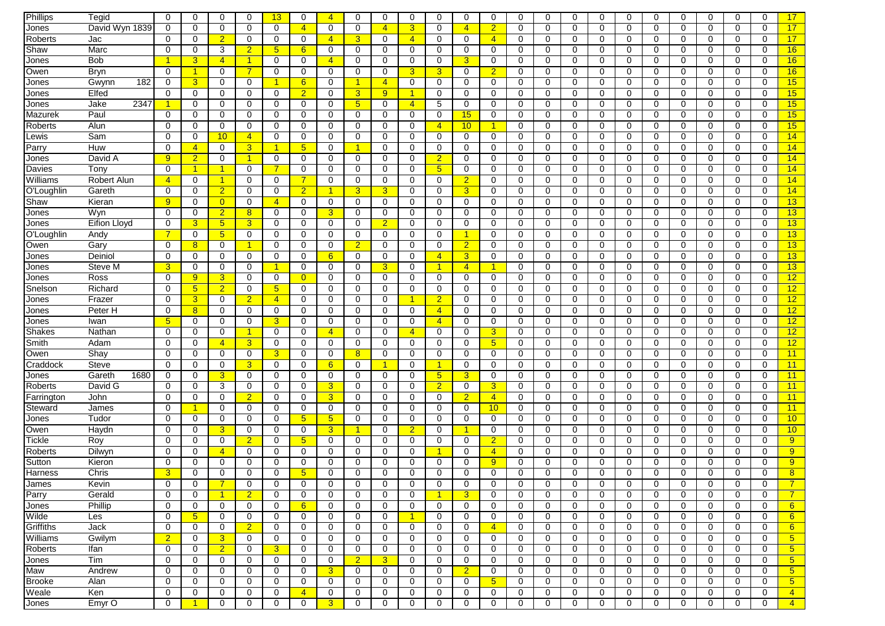| Phillips      | Tegid               | $\Omega$       | $\mathbf 0$          | $\mathbf 0$    | $\Omega$             | 13                   | $\Omega$         | $\overline{4}$   | $\mathbf 0$    | $\mathbf 0$    | $\mathbf 0$          | $\Omega$             | $\mathbf 0$          | $\mathbf 0$     | $\Omega$    | $\mathbf 0$ | $\mathbf 0$ | $\Omega$     | $\mathbf 0$ | $\Omega$    | $\mathbf 0$ | 0           | $\Omega$    | 0           | 17              |
|---------------|---------------------|----------------|----------------------|----------------|----------------------|----------------------|------------------|------------------|----------------|----------------|----------------------|----------------------|----------------------|-----------------|-------------|-------------|-------------|--------------|-------------|-------------|-------------|-------------|-------------|-------------|-----------------|
| Jones         | David Wyn 1839      | 0              | $\Omega$             | $\mathbf 0$    | $\Omega$             | $\mathbf 0$          | $\overline{4}$   | $\Omega$         | 0              | $\overline{4}$ | $\overline{3}$       | 0                    | $\overline{4}$       | $\overline{2}$  | $\Omega$    | $\mathbf 0$ | $\Omega$    | $\Omega$     | $\Omega$    | $\Omega$    | $\mathbf 0$ | $\Omega$    | $\Omega$    | $\Omega$    | 17              |
| Roberts       | Jac                 | 0              | 0                    | $\overline{2}$ | 0                    | 0                    | 0                | $\overline{4}$   | 3              | 0              | $\overline{4}$       | 0                    | 0                    | $\overline{4}$  | 0           | 0           | 0           | 0            | 0           | 0           | 0           | 0           | 0           | 0           | 17              |
| Shaw          | Marc                | 0              | $\mathbf 0$          | 3              | $\overline{2}$       | 5 <sub>5</sub>       | $6 \overline{6}$ | 0                | 0              | 0              | 0                    | 0                    | 0                    | 0               | 0           | 0           | 0           | 0            | 0           | 0           | 0           | 0           | 0           | 0           | 16              |
|               | <b>Bob</b>          |                | $\overline{3}$       | $\overline{4}$ | -1                   | $\mathbf 0$          | 0                | $\overline{4}$   | 0              | 0              | $\mathbf 0$          | 0                    | 3                    | $\mathbf 0$     | 0           | 0           | 0           | 0            | 0           | 0           | $\mathbf 0$ | 0           | 0           | 0           | 16              |
| Jones         | Bryn                | 0              | $\overline{1}$       | 0              | 7                    | 0                    | 0                | $\mathbf 0$      |                | $\mathbf 0$    | 3 <sup>5</sup>       |                      | $\mathbf 0$          | $\overline{2}$  | 0           | 0           |             | 0            |             |             | $\mathbf 0$ | 0           | 0           | $\mathbf 0$ |                 |
| Owen          |                     |                |                      |                |                      |                      |                  |                  | 0              |                |                      | 3                    |                      |                 |             |             | 0           |              | 0           | 0           |             |             |             |             | 16              |
| Jones         | 182<br>Gwynn        | 0              | $\overline{3}$       | 0              | 0                    | 1                    | 6                | $\mathbf 0$      |                | $\overline{4}$ | 0                    | 0                    | 0                    | 0               | 0           | 0           | 0           | 0            | 0           | 0           | 0           | 0           | $\mathbf 0$ | 0           | 15              |
| Jones         | Elfed               | 0              | 0                    | 0              | 0                    | 0                    | $\overline{2}$   | 0                | 3 <sup>5</sup> | 9              | $\blacktriangleleft$ | 0                    | 0                    | 0               | 0           | 0           | 0           | 0            | 0           | $\mathbf 0$ | 0           | 0           | 0           | 0           | 15              |
| Jones         | 2347<br>Jake        |                | 0                    | 0              | 0                    | 0                    | 0                | 0                | 5 <sub>5</sub> | 0              | $\overline{4}$       | 5                    | 0                    | 0               | $\Omega$    | 0           | 0           | $\Omega$     | 0           | $\mathbf 0$ | 0           | 0           | $\Omega$    | 0           | 15              |
| Mazurek       | Paul                | 0              | $\mathbf 0$          | 0              | 0                    | 0                    | 0                | 0                | 0              | 0              | 0                    | 0                    | 15                   | 0               | 0           | 0           | 0           | 0            | 0           | $\mathbf 0$ | 0           | 0           | 0           | 0           | 15              |
| Roberts       | Alun                | 0              | 0                    | 0              | 0                    | 0                    | 0                | 0                | 0              | 0              | 0                    | $\overline{4}$       | 10                   | 1               | 0           | 0           | 0           | 0            | 0           | 0           | 0           | 0           | 0           | $\Omega$    | 15              |
| _ewis         | Sam                 | 0              | 0                    | 10             | $\overline{4}$       | $\mathbf 0$          | 0                | 0                | $\mathbf 0$    | $\mathbf 0$    | $\mathbf 0$          | 0                    | 0                    | $\mathbf 0$     | 0           | $\mathbf 0$ | 0           | 0            | $\mathbf 0$ | $\mathbf 0$ | $\mathbf 0$ | 0           | 0           | 0           | 14              |
| Parry         | Huw                 | 0              | $\overline{4}$       | 0              | 3                    | $\blacktriangleleft$ | 5                | $\Omega$         | 1              | $\mathbf 0$    | $\mathbf 0$          | 0                    | 0                    | $\mathbf 0$     | 0           | $\mathbf 0$ | 0           | 0            | 0           | $\mathbf 0$ | $\mathbf 0$ | $\mathbf 0$ | $\Omega$    | $\Omega$    | 14              |
| Jones         | David A             | 9              | $\overline{2}$       | 0              | $\blacktriangleleft$ | 0                    | 0                | 0                | 0              | $\mathbf 0$    | 0                    | $\overline{2}$       | 0                    | 0               | 0           | 0           | 0           | 0            | 0           | $\mathbf 0$ | $\mathbf 0$ | 0           | 0           | 0           | 14              |
| Davies        | Tony                | 0              | $\overline{1}$       | $\mathbf 1$    | $\mathbf 0$          | $\overline{7}$       | 0                | 0                | 0              | $\mathbf 0$    | 0                    | $5\phantom{.0}$      | 0                    | 0               | 0           | 0           | $\Omega$    | 0            | 0           | 0           | $\mathbf 0$ | 0           | 0           | 0           | 14              |
| Williams      | Robert Alun         | $\overline{4}$ | $\mathbf 0$          | $\overline{1}$ | 0                    | 0                    | 7                | $\mathbf 0$      | 0              | 0              | 0                    | 0                    | $\overline{2}$       | 0               | 0           | 0           | 0           | 0            | 0           | $\mathbf 0$ | $\mathbf 0$ | 0           | 0           | 0           | 14              |
| O'Loughlin    | Gareth              | 0              | $\mathbf 0$          | $\overline{2}$ | 0                    | 0                    | $\overline{2}$   | 1                | 3              | 3              | 0                    | 0                    | 3                    | 0               | 0           | 0           | 0           | $\Omega$     | 0           | $\mathbf 0$ | 0           | 0           | 0           | 0           | 14              |
| Shaw          | Kieran              | 9              | 0                    | $\overline{0}$ | $\Omega$             | $\overline{4}$       | $\Omega$         | 0                | 0              | 0              | 0                    | 0                    | 0                    | 0               | 0           | 0           | 0           | 0            | 0           | $\mathbf 0$ | 0           | 0           | 0           | $\Omega$    | 13              |
| Jones         | Wyn                 | 0              | 0                    | $\overline{2}$ | 8                    | $\mathbf 0$          | 0                | 3                | $\mathbf 0$    | 0              | $\mathbf 0$          | 0                    | 0                    | 0               | 0           | 0           | 0           | 0            | $\mathbf 0$ | $\mathbf 0$ | 0           | 0           | 0           | 0           | 13              |
| Jones         | <b>Eifion Lloyd</b> | 0              | 3                    | 5 <sup>5</sup> | 3                    | $\mathbf 0$          | $\Omega$         | $\Omega$         | 0              | $\overline{2}$ | $\mathbf 0$          | $\Omega$             | 0                    | 0               | 0           | 0           | 0           | $\Omega$     | 0           | 0           | 0           | 0           | $\Omega$    | $\Omega$    | 13              |
| O'Loughlin    | Andy                |                | $\mathbf 0$          | 5 <sup>5</sup> | 0                    | $\mathbf 0$          | 0                | 0                | 0              | 0              | 0                    | 0                    | $\blacktriangleleft$ | 0               | 0           | 0           | 0           | 0            | 0           | 0           | 0           | 0           | 0           | 0           | 13              |
| Owen          | Gary                | 0              | 8 <sup>°</sup>       | 0              | -1                   | 0                    | 0                | 0                | $\overline{2}$ | 0              | 0                    | 0                    | $\overline{2}$       | 0               | 0           | 0           | 0           | 0            | 0           | 0           | 0           | 0           | 0           | 0           | 13              |
| Jones         | Deiniol             | 0              | 0                    | $\mathbf 0$    | 0                    | 0                    | 0                | 6                | $\mathbf 0$    | 0              | 0                    | $\overline{4}$       | 3                    | 0               | 0           | 0           | 0           | 0            | 0           | $\mathbf 0$ | $\mathbf 0$ | 0           | 0           | 0           | 13              |
| Jones         | Steve M             | 3              | 0                    | 0              | $\mathbf 0$          | -1                   | 0                | 0                | 0              | 3              | $\mathbf 0$          | 1                    | $\overline{4}$       |                 | 0           | 0           | 0           | 0            | 0           | $\mathbf 0$ | $\mathbf 0$ | $\mathbf 0$ | 0           | 0           | 13              |
| Jones         | Ross                | $\Omega$       | 9                    | 3              | 0                    | 0                    | $\overline{0}$   | 0                | 0              | 0              | 0                    | 0                    | 0                    | 0               | 0           | 0           | 0           | 0            | 0           | 0           | 0           | 0           | 0           | 0           | 12              |
| Snelson       | Richard             | 0              | 5 <sub>5</sub>       | $\overline{2}$ | 0                    | 5 <sub>5</sub>       | 0                | 0                | 0              | 0              | 0                    | 0                    | 0                    | 0               | 0           | 0           | 0           | $\Omega$     | 0           | 0           | 0           | 0           | $\Omega$    | 0           | 12              |
| Jones         | Frazer              | $\Omega$       | $\overline{3}$       | $\mathbf 0$    | $\overline{2}$       | $\overline{4}$       | $\Omega$         | $\Omega$         | 0              | 0              | $\blacktriangleleft$ | $\overline{2}$       | 0                    | 0               | 0           | $\mathbf 0$ | 0           | $\Omega$     | 0           | 0           | 0           | 0           | $\Omega$    | $\Omega$    | 12              |
| Jones         | Peter H             | $\Omega$       | 8                    | 0              | 0                    | $\mathbf 0$          | 0                | 0                | 0              | 0              | 0                    | $\overline{4}$       | 0                    | 0               | 0           | 0           | 0           | 0            | 0           | 0           | 0           | 0           | 0           | 0           | 12              |
| Jones         | Iwan                | 5              | 0                    | 0              | 0                    | 3                    | $\Omega$         | 0                | 0              | 0              | 0                    | 4                    | 0                    | 0               | 0           | 0           | 0           | 0            | 0           | 0           | 0           | 0           | $\Omega$    | $\Omega$    | 12              |
| Shakes        | Nathan              | 0              | $\mathbf 0$          | $\mathbf 0$    | -1                   | $\mathbf 0$          | 0                | $\overline{4}$   | 0              | 0              | $\overline{4}$       | 0                    | 0                    | 3 <sup>2</sup>  | 0           | $\mathbf 0$ | 0           | 0            | $\mathbf 0$ | $\mathbf 0$ | $\mathbf 0$ | $\mathbf 0$ | 0           | 0           | 12              |
| Smith         | Adam                | 0              | $\mathbf 0$          | $\overline{4}$ | 3                    | $\mathbf 0$          | 0                | 0                | $\mathbf 0$    | $\mathbf 0$    | $\mathbf 0$          | $\mathbf 0$          | $\mathbf 0$          | 5 <sup>5</sup>  | 0           | $\mathbf 0$ | 0           | $\mathbf 0$  | $\mathbf 0$ | $\mathbf 0$ | $\mathbf 0$ | $\mathbf 0$ | 0           | $\mathbf 0$ | 12              |
| Owen          | Shay                | 0              | 0                    | 0              | 0                    | 3 <sup>5</sup>       | 0                | 0                | 8              | 0              | 0                    | 0                    | 0                    | 0               | 0           | 0           | 0           | 0            | 0           | 0           | 0           | 0           | $\mathbf 0$ | 0           | 11              |
| Craddock      | <b>Steve</b>        | $\mathbf 0$    | 0                    | 0              | 3                    | 0                    | 0                | 6                | 0              | и              | 0                    | 1                    | 0                    | 0               | 0           | 0           | 0           | 0            | 0           | 0           | $\mathbf 0$ | 0           | 0           | 0           | 11              |
| Jones         | 1680<br>Gareth      | 0              | 0                    | 3              | 0                    | $\mathbf 0$          | $\Omega$         | $\Omega$         | 0              | 0              | $\mathbf 0$          | $5\phantom{.0}$      | 3                    | 0               | $\Omega$    | $\mathbf 0$ | 0           | $\Omega$     | $\mathbf 0$ | 0           | 0           | 0           | $\Omega$    | $\Omega$    | 11              |
| Roberts       | David G             | 0              | 0                    | 3              | 0                    | 0                    | 0                | 3                | 0              | 0              | 0                    | $\overline{2}$       | 0                    | 3               | 0           | 0           | 0           | $\Omega$     | 0           | 0           | 0           | 0           | 0           | 0           | 11              |
| Farrington    | John                | 0              | 0                    | 0              | $\overline{2}$       | 0                    | 0                | 3                | 0              | 0              | 0                    | 0                    | $\overline{2}$       | $\overline{4}$  | 0           | 0           | 0           | 0            | 0           | 0           | 0           | 0           | 0           | 0           | 11              |
| Steward       | James               | 0              | $\blacktriangleleft$ | 0              | 0                    | $\mathbf 0$          | 0                | 0                | $\mathbf 0$    | 0              | 0                    | 0                    | 0                    | 10 <sub>1</sub> | 0           | 0           | 0           | 0            | $\mathbf 0$ | 0           | 0           | 0           | 0           | 0           | 11              |
| Jones         | Tudor               | 0              | $\mathbf 0$          | $\mathbf 0$    | $\mathbf 0$          | $\mathbf 0$          | 5                | 5                | 0              | $\mathbf 0$    | $\mathbf 0$          | $\Omega$             | $\mathbf 0$          | $\mathbf 0$     | 0           | $\mathbf 0$ | 0           | 0            | 0           | $\mathbf 0$ | $\mathbf 0$ | $\mathbf 0$ | $\Omega$    | $\mathbf 0$ | 10              |
| Owen          | Haydn               | 0              | $\mathbf 0$          | 3              | 0                    | 0                    | 0                | $\overline{3}$   | $\mathbf 1$    | 0              | $\overline{2}$       | 0                    | $\blacktriangleleft$ | 0               | 0           | 0           | 0           | 0            | 0           | 0           | 0           | 0           | 0           | 0           | 10              |
| Tickle        | Roy                 | 0              | 0                    | 0              | $\overline{2}$       | 0                    | 5                | 0                | 0              | 0              | 0                    | 0                    | 0                    | $\overline{2}$  | 0           | 0           | 0           | 0            | 0           | 0           | 0           | 0           | 0           | 0           | 9               |
| Roberts       | Dilwyn              | $\Omega$       | $\mathbf 0$          | $\overline{4}$ | $\Omega$             | 0                    | 0                | $\mathbf 0$      | 0              | $\mathbf 0$    | $\mathbf 0$          |                      | 0                    | $\overline{4}$  | 0           | $\mathbf 0$ | $\Omega$    | 0            | 0           | $\mathbf 0$ | $\mathbf 0$ | 0           | $\Omega$    | $\Omega$    | 9               |
| Sutton        | Kieron              | 0              | $\mathbf 0$          | 0              | $\mathbf 0$          | 0                    | $\Omega$         | $\mathbf 0$      | 0              | $\mathbf 0$    | $\mathbf 0$          | 0                    | $\mathbf 0$          | 9               | 0           | 0           | 0           | 0            | 0           | $\mathbf 0$ | $\mathbf 0$ | $\mathbf 0$ | 0           | $\mathbf 0$ | 9               |
| Harness       | Chris               | 3              | 0                    | 0              | $\Omega$             | 0                    | 5                | $\Omega$         | 0              | $\Omega$       | 0                    | 0                    | $\Omega$             | 0               | 0           | $\mathbf 0$ | $\Omega$    | $\Omega$     | 0           | 0           | $\Omega$    | $\Omega$    | $\Omega$    | $\Omega$    | 8               |
| James         | Kevin               | 0              | $\cup$               | 7              | O                    | $\cup$               | U                | $\cup$           | U              | $\mathsf{U}$   | U                    | U                    | $\cup$               | U               | U           | O           | U           | U            | U           | $\cup$      | O           | $\cup$      | U           | U           |                 |
| Parry         | Gerald              | $\mathbf 0$    | $\mathbf 0$          | $\mathbf{1}$   | $\overline{2}$       | $\mathbf 0$          | 0                | 0                | $\mathbf 0$    | $\mathbf 0$    | $\mathbf 0$          | $\blacktriangleleft$ | $\overline{3}$       | $\mathbf 0$     | $\mathbf 0$ | $\mathbf 0$ | 0           | 0            | 0           | $\mathbf 0$ | 0           | $\mathbf 0$ | 0           | 0           | $\overline{7}$  |
| Jones         | Phillip             | $\mathbf 0$    | 0                    | $\mathbf 0$    | 0                    | 0                    | $6^{\circ}$      | $\mathbf{0}$     | 0              | 0              | 0                    | 0                    | 0                    | 0               | 0           | 0           | 0           | $\mathbf{0}$ | 0           | $\mathbf 0$ | 0           | 0           | 0           | 0           | 6               |
| Wilde         | Les                 | $\mathbf 0$    | 5 <sub>5</sub>       | 0              | 0                    | $\mathbf 0$          | 0                | 0                | 0              | 0              | $\blacktriangleleft$ | 0                    | 0                    | 0               | 0           | 0           | 0           | 0            | 0           | $\mathbf 0$ | 0           | 0           | 0           | 0           | 6               |
| Griffiths     | Jack                | $\mathbf 0$    | 0                    | $\mathbf{0}$   | $\overline{2}$       | $\mathbf 0$          | 0                | 0                | 0              | 0              | 0                    | 0                    | 0                    | $\overline{4}$  | $\mathbf 0$ | $\mathbf 0$ | 0           | 0            | 0           | $\mathbf 0$ | 0           | 0           | $\mathbf 0$ | 0           | 6               |
| Williams      | Gwilym              | $\overline{2}$ | 0                    | 3 <sup>5</sup> | 0                    | 0                    | 0                | $\mathbf 0$      | 0              | $\mathbf 0$    | 0                    | 0                    | $\mathbf 0$          | 0               | 0           | 0           | 0           | $\mathbf 0$  | 0           | $\mathbf 0$ | $\mathbf 0$ | 0           | 0           | 0           | 5 <sub>5</sub>  |
| Roberts       | Ifan                | 0              | $\mathbf 0$          | $\overline{2}$ | 0                    | 3 <sup>2</sup>       | 0                | 0                | 0              | 0              | 0                    | 0                    | $\mathbf 0$          | 0               | 0           | 0           | 0           | 0            | 0           | $\mathbf 0$ | 0           | 0           | 0           | 0           | $5\overline{)}$ |
|               | Tim                 | 0              | 0                    | $\mathbf 0$    | 0                    | $\mathbf 0$          | 0                | 0                | 2 <sup>1</sup> | 3              | 0                    | 0                    | 0                    | $\mathbf 0$     | 0           | 0           | 0           | 0            | 0           | $\mathbf 0$ | $\mathbf 0$ | 0           | $\mathbf 0$ | 0           | $5\overline{)}$ |
| Jones         |                     | 0              | 0                    | $\mathbf 0$    |                      |                      | 0                |                  |                |                | 0                    | $\mathbf 0$          |                      |                 | 0           | 0           |             | 0            | 0           |             | 0           |             | 0           |             | $5\overline{)}$ |
| Maw           | Andrew              | $\mathbf 0$    |                      |                | 0                    | 0                    |                  | 3<br>$\mathbf 0$ | 0              | 0              |                      |                      | $\overline{2}$       | 0               | 0           |             | 0           |              |             | 0           |             | 0           | 0           | 0           |                 |
| <b>Brooke</b> | Alan                |                | 0                    | $\mathbf 0$    | 0                    | 0                    | 0                |                  | 0              | $\mathbf 0$    | 0                    | 0                    | 0                    | 5 <sub>5</sub>  |             | 0           | 0           | 0            | 0           | $\mathbf 0$ | 0           | 0           |             | 0           | 5 <sub>5</sub>  |
| Weale         | Ken                 | $\mathbf 0$    | 0                    | 0              | 0                    | 0                    | $\overline{4}$   | 0                | 0              | 0              | 0                    | 0                    | 0                    | 0               | 0           | 0           | 0           | 0            | 0           | 0           | 0           | 0           | 0           | 0           | $\overline{4}$  |
| Jones         | Emyr O              | 0              | $\overline{1}$       | 0              | 0                    | 0                    | 0                | 3 <sup>5</sup>   | 0              | 0              | 0                    | 0                    | 0                    | 0               | 0           | 0           | 0           | 0            | 0           | 0           | 0           | 0           | 0           | 0           | $\overline{4}$  |